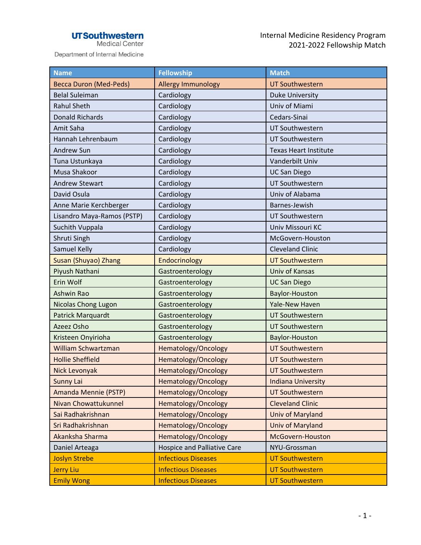## **UTSouthwestern**<br>Medical Center

Department of Internal Medicine

| <b>Name</b>                   | <b>Fellowship</b>           | <b>Match</b>                 |
|-------------------------------|-----------------------------|------------------------------|
| <b>Becca Duron (Med-Peds)</b> | Allergy Immunology          | <b>UT Southwestern</b>       |
| <b>Belal Suleiman</b>         | Cardiology                  | <b>Duke University</b>       |
| <b>Rahul Sheth</b>            | Cardiology                  | Univ of Miami                |
| <b>Donald Richards</b>        | Cardiology                  | Cedars-Sinai                 |
| Amit Saha                     | Cardiology                  | UT Southwestern              |
| Hannah Lehrenbaum             | Cardiology                  | UT Southwestern              |
| Andrew Sun                    | Cardiology                  | <b>Texas Heart Institute</b> |
| Tuna Ustunkaya                | Cardiology                  | Vanderbilt Univ              |
| Musa Shakoor                  | Cardiology                  | <b>UC San Diego</b>          |
| <b>Andrew Stewart</b>         | Cardiology                  | UT Southwestern              |
| David Osula                   | Cardiology                  | Univ of Alabama              |
| Anne Marie Kerchberger        | Cardiology                  | Barnes-Jewish                |
| Lisandro Maya-Ramos (PSTP)    | Cardiology                  | UT Southwestern              |
| Suchith Vuppala               | Cardiology                  | Univ Missouri KC             |
| Shruti Singh                  | Cardiology                  | McGovern-Houston             |
| Samuel Kelly                  | Cardiology                  | <b>Cleveland Clinic</b>      |
| Susan (Shuyao) Zhang          | Endocrinology               | <b>UT Southwestern</b>       |
| Piyush Nathani                | Gastroenterology            | Univ of Kansas               |
| Erin Wolf                     | Gastroenterology            | <b>UC San Diego</b>          |
| <b>Ashwin Rao</b>             | Gastroenterology            | Baylor-Houston               |
| <b>Nicolas Chong Lugon</b>    | Gastroenterology            | <b>Yale-New Haven</b>        |
| Patrick Marquardt             | Gastroenterology            | <b>UT Southwestern</b>       |
| Azeez Osho                    | Gastroenterology            | <b>UT Southwestern</b>       |
| Kristeen Onyirioha            | Gastroenterology            | Baylor-Houston               |
| <b>William Schwartzman</b>    | Hematology/Oncology         | <b>UT Southwestern</b>       |
| <b>Hollie Sheffield</b>       | Hematology/Oncology         | <b>UT Southwestern</b>       |
| Nick Levonyak                 | Hematology/Oncology         | <b>UT Southwestern</b>       |
| <b>Sunny Lai</b>              | Hematology/Oncology         | <b>Indiana University</b>    |
| Amanda Mennie (PSTP)          | Hematology/Oncology         | <b>UT Southwestern</b>       |
| Nivan Chowattukunnel          | Hematology/Oncology         | <b>Cleveland Clinic</b>      |
| Sai Radhakrishnan             | Hematology/Oncology         | Univ of Maryland             |
| Sri Radhakrishnan             | Hematology/Oncology         | Univ of Maryland             |
| Akanksha Sharma               | Hematology/Oncology         | McGovern-Houston             |
| Daniel Arteaga                | Hospice and Palliative Care | NYU-Grossman                 |
| <b>Joslyn Strebe</b>          | <b>Infectious Diseases</b>  | <b>UT Southwestern</b>       |
| <b>Jerry Liu</b>              | <b>Infectious Diseases</b>  | <b>UT Southwestern</b>       |
| <b>Emily Wong</b>             | <b>Infectious Diseases</b>  | <b>UT Southwestern</b>       |